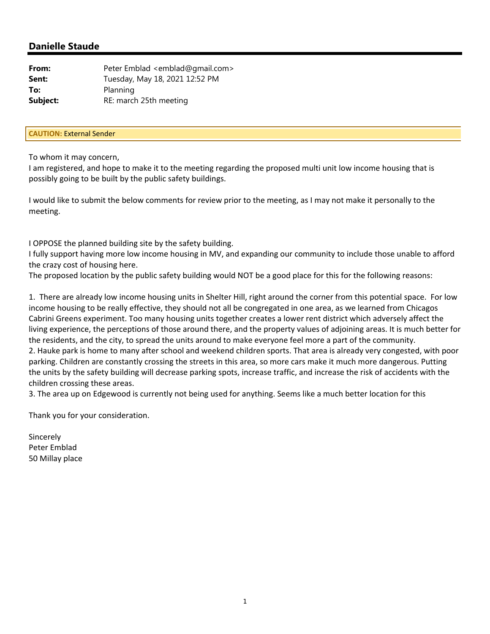| From:    | Peter Emblad <emblad@gmail.com></emblad@gmail.com> |
|----------|----------------------------------------------------|
| Sent:    | Tuesday, May 18, 2021 12:52 PM                     |
| To:      | Planning                                           |
| Subject: | RE: march 25th meeting                             |

#### **CAUTION:** External Sender

To whom it may concern,

I am registered, and hope to make it to the meeting regarding the proposed multi unit low income housing that is possibly going to be built by the public safety buildings.

I would like to submit the below comments for review prior to the meeting, as I may not make it personally to the meeting.

I OPPOSE the planned building site by the safety building.

I fully support having more low income housing in MV, and expanding our community to include those unable to afford the crazy cost of housing here.

The proposed location by the public safety building would NOT be a good place for this for the following reasons:

1. There are already low income housing units in Shelter Hill, right around the corner from this potential space. For low income housing to be really effective, they should not all be congregated in one area, as we learned from Chicagos Cabrini Greens experiment. Too many housing units together creates a lower rent district which adversely affect the living experience, the perceptions of those around there, and the property values of adjoining areas. It is much better for the residents, and the city, to spread the units around to make everyone feel more a part of the community. 2. Hauke park is home to many after school and weekend children sports. That area is already very congested, with poor parking. Children are constantly crossing the streets in this area, so more cars make it much more dangerous. Putting the units by the safety building will decrease parking spots, increase traffic, and increase the risk of accidents with the children crossing these areas.

3. The area up on Edgewood is currently not being used for anything. Seems like a much better location for this

Thank you for your consideration.

Sincerely Peter Emblad 50 Millay place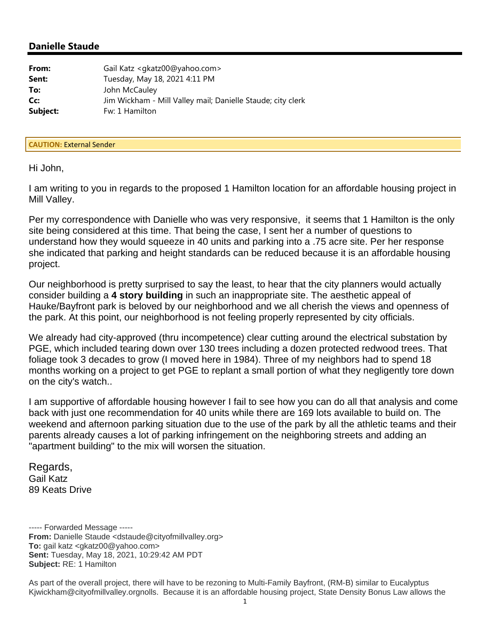| From:    | Gail Katz <gkatz00@yahoo.com></gkatz00@yahoo.com>           |
|----------|-------------------------------------------------------------|
| Sent:    | Tuesday, May 18, 2021 4:11 PM                               |
| To:      | John McCauley                                               |
| Cc:      | Jim Wickham - Mill Valley mail; Danielle Staude; city clerk |
| Subject: | Fw: 1 Hamilton                                              |

#### **CAUTION:** External Sender

Hi John,

I am writing to you in regards to the proposed 1 Hamilton location for an affordable housing project in Mill Valley.

Per my correspondence with Danielle who was very responsive, it seems that 1 Hamilton is the only site being considered at this time. That being the case, I sent her a number of questions to understand how they would squeeze in 40 units and parking into a .75 acre site. Per her response she indicated that parking and height standards can be reduced because it is an affordable housing project.

Our neighborhood is pretty surprised to say the least, to hear that the city planners would actually consider building a **4 story building** in such an inappropriate site. The aesthetic appeal of Hauke/Bayfront park is beloved by our neighborhood and we all cherish the views and openness of the park. At this point, our neighborhood is not feeling properly represented by city officials.

We already had city-approved (thru incompetence) clear cutting around the electrical substation by PGE, which included tearing down over 130 trees including a dozen protected redwood trees. That foliage took 3 decades to grow (I moved here in 1984). Three of my neighbors had to spend 18 months working on a project to get PGE to replant a small portion of what they negligently tore down on the city's watch..

I am supportive of affordable housing however I fail to see how you can do all that analysis and come back with just one recommendation for 40 units while there are 169 lots available to build on. The weekend and afternoon parking situation due to the use of the park by all the athletic teams and their parents already causes a lot of parking infringement on the neighboring streets and adding an "apartment building" to the mix will worsen the situation.

Regards, Gail Katz 89 Keats Drive

----- Forwarded Message ----- **From:** Danielle Staude <dstaude@cityofmillvalley.org> **To:** gail katz <gkatz00@yahoo.com> **Sent:** Tuesday, May 18, 2021, 10:29:42 AM PDT **Subject:** RE: 1 Hamilton

As part of the overall project, there will have to be rezoning to Multi-Family Bayfront, (RM-B) similar to Eucalyptus Kjwickham@cityofmillvalley.orgnolls. Because it is an affordable housing project, State Density Bonus Law allows the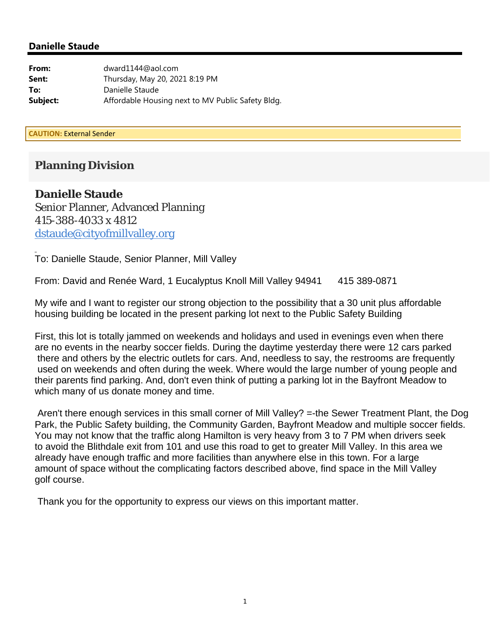| From:    | dward1144@aol.com                                 |
|----------|---------------------------------------------------|
| Sent:    | Thursday, May 20, 2021 8:19 PM                    |
| To:      | Danielle Staude                                   |
| Subject: | Affordable Housing next to MV Public Safety Bldg. |

**CAUTION:** External Sender

# **Planning Division**

## **Danielle Staude**

Senior Planner, Advanced Planning 415-388-4033 x 4812 dstaude@cityofmillvalley.org

To: Danielle Staude, Senior Planner, Mill Valley

From: David and Renée Ward, 1 Eucalyptus Knoll Mill Valley 94941 415 389-0871

My wife and I want to register our strong objection to the possibility that a 30 unit plus affordable housing building be located in the present parking lot next to the Public Safety Building

First, this lot is totally jammed on weekends and holidays and used in evenings even when there are no events in the nearby soccer fields. During the daytime yesterday there were 12 cars parked there and others by the electric outlets for cars. And, needless to say, the restrooms are frequently used on weekends and often during the week. Where would the large number of young people and their parents find parking. And, don't even think of putting a parking lot in the Bayfront Meadow to which many of us donate money and time.

 Aren't there enough services in this small corner of Mill Valley? =-the Sewer Treatment Plant, the Dog Park, the Public Safety building, the Community Garden, Bayfront Meadow and multiple soccer fields. You may not know that the traffic along Hamilton is very heavy from 3 to 7 PM when drivers seek to avoid the Blithdale exit from 101 and use this road to get to greater Mill Valley. In this area we already have enough traffic and more facilities than anywhere else in this town. For a large amount of space without the complicating factors described above, find space in the Mill Valley golf course.

Thank you for the opportunity to express our views on this important matter.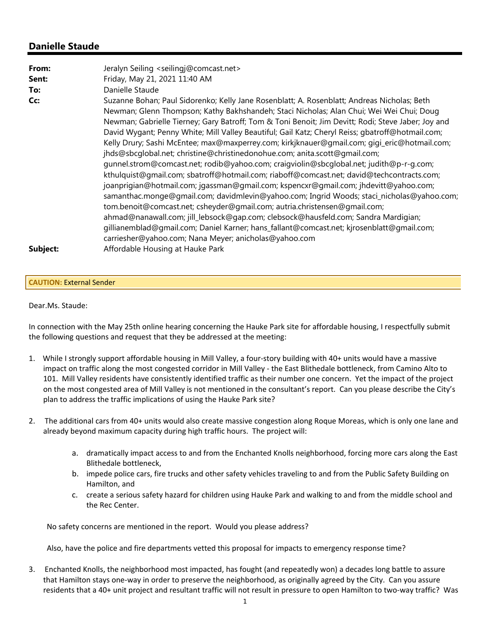| From:    | Jeralyn Seiling <seilingj@comcast.net></seilingj@comcast.net>                                                                                                                                                                                                                                                                                                                                                                                                                                                                                                                                                                                                                                                                                                                                                                                                                                                                                                                                                                                                                                                                   |
|----------|---------------------------------------------------------------------------------------------------------------------------------------------------------------------------------------------------------------------------------------------------------------------------------------------------------------------------------------------------------------------------------------------------------------------------------------------------------------------------------------------------------------------------------------------------------------------------------------------------------------------------------------------------------------------------------------------------------------------------------------------------------------------------------------------------------------------------------------------------------------------------------------------------------------------------------------------------------------------------------------------------------------------------------------------------------------------------------------------------------------------------------|
| Sent:    | Friday, May 21, 2021 11:40 AM                                                                                                                                                                                                                                                                                                                                                                                                                                                                                                                                                                                                                                                                                                                                                                                                                                                                                                                                                                                                                                                                                                   |
| To:      | Danielle Staude                                                                                                                                                                                                                                                                                                                                                                                                                                                                                                                                                                                                                                                                                                                                                                                                                                                                                                                                                                                                                                                                                                                 |
| Cc:      | Suzanne Bohan; Paul Sidorenko; Kelly Jane Rosenblatt; A. Rosenblatt; Andreas Nicholas; Beth<br>Newman; Glenn Thompson; Kathy Bakhshandeh; Staci Nicholas; Alan Chui; Wei Wei Chui; Doug<br>Newman; Gabrielle Tierney; Gary Batroff; Tom & Toni Benoit; Jim Devitt; Rodi; Steve Jaber; Joy and<br>David Wygant; Penny White; Mill Valley Beautiful; Gail Katz; Cheryl Reiss; gbatroff@hotmail.com;<br>Kelly Drury; Sashi McEntee; max@maxperrey.com; kirkjknauer@gmail.com; qiqi_eric@hotmail.com;<br>jhds@sbcqlobal.net; christine@christinedonohue.com; anita.scott@gmail.com;<br>gunnel.strom@comcast.net; rodib@yahoo.com; craiqviolin@sbcqlobal.net; judith@p-r-g.com;<br>kthulquist@gmail.com; sbatroff@hotmail.com; riaboff@comcast.net; david@techcontracts.com;<br>joanprigian@hotmail.com; jgassman@gmail.com; kspencxr@gmail.com; jhdevitt@yahoo.com;<br>samanthac.monge@gmail.com; davidmlevin@yahoo.com; Ingrid Woods; staci_nicholas@yahoo.com;<br>tom.benoit@comcast.net; csheyder@gmail.com; autria.christensen@gmail.com;<br>ahmad@nanawall.com; jill_lebsock@gap.com; clebsock@hausfeld.com; Sandra Mardigian; |
|          | gillianemblad@gmail.com; Daniel Karner; hans_fallant@comcast.net; kjrosenblatt@gmail.com;                                                                                                                                                                                                                                                                                                                                                                                                                                                                                                                                                                                                                                                                                                                                                                                                                                                                                                                                                                                                                                       |
|          | carriesher@yahoo.com; Nana Meyer; anicholas@yahoo.com                                                                                                                                                                                                                                                                                                                                                                                                                                                                                                                                                                                                                                                                                                                                                                                                                                                                                                                                                                                                                                                                           |
| Subject: | Affordable Housing at Hauke Park                                                                                                                                                                                                                                                                                                                                                                                                                                                                                                                                                                                                                                                                                                                                                                                                                                                                                                                                                                                                                                                                                                |

#### **CAUTION:** External Sender

#### Dear.Ms. Staude:

In connection with the May 25th online hearing concerning the Hauke Park site for affordable housing, I respectfully submit the following questions and request that they be addressed at the meeting:

- 1. While I strongly support affordable housing in Mill Valley, a four‐story building with 40+ units would have a massive impact on traffic along the most congested corridor in Mill Valley - the East Blithedale bottleneck, from Camino Alto to 101. Mill Valley residents have consistently identified traffic as their number one concern. Yet the impact of the project on the most congested area of Mill Valley is not mentioned in the consultant's report. Can you please describe the City's plan to address the traffic implications of using the Hauke Park site?
- 2. The additional cars from 40+ units would also create massive congestion along Roque Moreas, which is only one lane and already beyond maximum capacity during high traffic hours. The project will:
	- a. dramatically impact access to and from the Enchanted Knolls neighborhood, forcing more cars along the East Blithedale bottleneck,
	- b. impede police cars, fire trucks and other safety vehicles traveling to and from the Public Safety Building on Hamilton, and
	- c. create a serious safety hazard for children using Hauke Park and walking to and from the middle school and the Rec Center.

No safety concerns are mentioned in the report. Would you please address?

Also, have the police and fire departments vetted this proposal for impacts to emergency response time?

3. Enchanted Knolls, the neighborhood most impacted, has fought (and repeatedly won) a decades long battle to assure that Hamilton stays one‐way in order to preserve the neighborhood, as originally agreed by the City. Can you assure residents that a 40+ unit project and resultant traffic will not result in pressure to open Hamilton to two‐way traffic? Was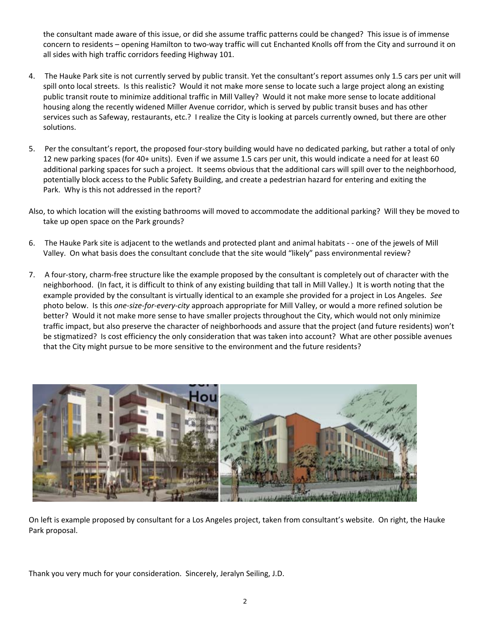the consultant made aware of this issue, or did she assume traffic patterns could be changed? This issue is of immense concern to residents – opening Hamilton to two-way traffic will cut Enchanted Knolls off from the City and surround it on all sides with high traffic corridors feeding Highway 101.

- 4. The Hauke Park site is not currently served by public transit. Yet the consultant's report assumes only 1.5 cars per unit will spill onto local streets. Is this realistic? Would it not make more sense to locate such a large project along an existing public transit route to minimize additional traffic in Mill Valley? Would it not make more sense to locate additional housing along the recently widened Miller Avenue corridor, which is served by public transit buses and has other services such as Safeway, restaurants, etc.? I realize the City is looking at parcels currently owned, but there are other solutions.
- 5. Per the consultant's report, the proposed four-story building would have no dedicated parking, but rather a total of only 12 new parking spaces (for 40+ units). Even if we assume 1.5 cars per unit, this would indicate a need for at least 60 additional parking spaces for such a project. It seems obvious that the additional cars will spill over to the neighborhood, potentially block access to the Public Safety Building, and create a pedestrian hazard for entering and exiting the Park. Why is this not addressed in the report?
- Also, to which location will the existing bathrooms will moved to accommodate the additional parking? Will they be moved to take up open space on the Park grounds?
- 6. The Hauke Park site is adjacent to the wetlands and protected plant and animal habitats ‐ ‐ one of the jewels of Mill Valley. On what basis does the consultant conclude that the site would "likely" pass environmental review?
- 7. A four‐story, charm‐free structure like the example proposed by the consultant is completely out of character with the neighborhood. (In fact, it is difficult to think of any existing building that tall in Mill Valley.) It is worth noting that the example provided by the consultant is virtually identical to an example she provided for a project in Los Angeles. *See* photo below. Is this *one‐size‐for‐every‐city* approach appropriate for Mill Valley, or would a more refined solution be better? Would it not make more sense to have smaller projects throughout the City, which would not only minimize traffic impact, but also preserve the character of neighborhoods and assure that the project (and future residents) won't be stigmatized? Is cost efficiency the only consideration that was taken into account? What are other possible avenues that the City might pursue to be more sensitive to the environment and the future residents?



On left is example proposed by consultant for a Los Angeles project, taken from consultant's website. On right, the Hauke Park proposal.

Thank you very much for your consideration. Sincerely, Jeralyn Seiling, J.D.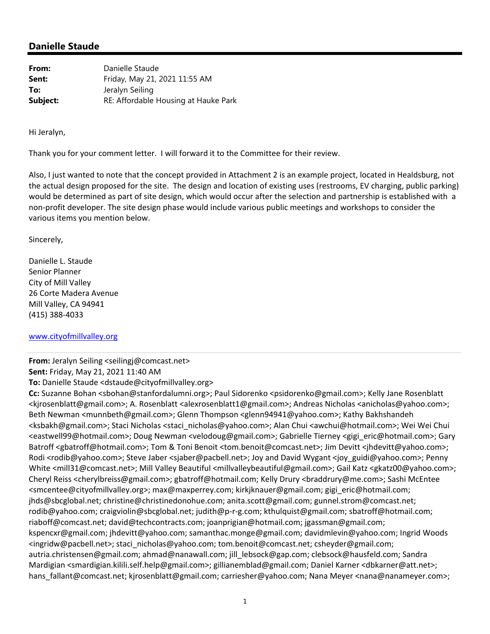| From:    | Danielle Staude                      |
|----------|--------------------------------------|
| Sent:    | Friday, May 21, 2021 11:55 AM        |
| To:      | Jeralyn Seiling                      |
| Subject: | RE: Affordable Housing at Hauke Park |

Hi Jeralyn,

Thank you for your comment letter. I will forward it to the Committee for their review.

Also, I just wanted to note that the concept provided in Attachment 2 is an example project, located in Healdsburg, not the actual design proposed for the site. The design and location of existing uses (restrooms, EV charging, public parking) would be determined as part of site design, which would occur after the selection and partnership is established with a non‐profit developer. The site design phase would include various public meetings and workshops to consider the various items you mention below.

Sincerely,

Danielle L. Staude Senior Planner City of Mill Valley 26 Corte Madera Avenue Mill Valley, CA 94941 (415) 388‐4033

#### www.cityofmillvalley.org

**From:** Jeralyn Seiling <seilingj@comcast.net>

**Sent:** Friday, May 21, 2021 11:40 AM

**To:** Danielle Staude <dstaude@cityofmillvalley.org>

**Cc:** Suzanne Bohan <sbohan@stanfordalumni.org>; Paul Sidorenko <psidorenko@gmail.com>; Kelly Jane Rosenblatt <kjrosenblatt@gmail.com>; A. Rosenblatt <alexrosenblatt1@gmail.com>; Andreas Nicholas <anicholas@yahoo.com>; Beth Newman <munnbeth@gmail.com>; Glenn Thompson <glenn94941@yahoo.com>; Kathy Bakhshandeh <ksbakh@gmail.com>; Staci Nicholas <staci\_nicholas@yahoo.com>; Alan Chui <awchui@hotmail.com>; Wei Wei Chui <eastwell99@hotmail.com>; Doug Newman <velodoug@gmail.com>; Gabrielle Tierney <gigi\_eric@hotmail.com>; Gary Batroff <gbatroff@hotmail.com>; Tom & Toni Benoit <tom.benoit@comcast.net>; Jim Devitt <jhdevitt@yahoo.com>; Rodi <rodib@yahoo.com>; Steve Jaber <sjaber@pacbell.net>; Joy and David Wygant <joy\_guidi@yahoo.com>; Penny White <mill31@comcast.net>; Mill Valley Beautiful <millvalleybeautiful@gmail.com>; Gail Katz <gkatz00@yahoo.com>; Cheryl Reiss <cherylbreiss@gmail.com>; gbatroff@hotmail.com; Kelly Drury <braddrury@me.com>; Sashi McEntee <smcentee@cityofmillvalley.org>; max@maxperrey.com; kirkjknauer@gmail.com; gigi\_eric@hotmail.com; jhds@sbcglobal.net; christine@christinedonohue.com; anita.scott@gmail.com; gunnel.strom@comcast.net; rodib@yahoo.com; craigviolin@sbcglobal.net; judith@p‐r‐g.com; kthulquist@gmail.com; sbatroff@hotmail.com; riaboff@comcast.net; david@techcontracts.com; joanprigian@hotmail.com; jgassman@gmail.com; kspencxr@gmail.com; jhdevitt@yahoo.com; samanthac.monge@gmail.com; davidmlevin@yahoo.com; Ingrid Woods <ingridw@pacbell.net>; staci\_nicholas@yahoo.com; tom.benoit@comcast.net; csheyder@gmail.com; autria.christensen@gmail.com; ahmad@nanawall.com; jill\_lebsock@gap.com; clebsock@hausfeld.com; Sandra Mardigian <smardigian.kilili.self.help@gmail.com>; gillianemblad@gmail.com; Daniel Karner <dbkarner@att.net>; hans\_fallant@comcast.net; kjrosenblatt@gmail.com; carriesher@yahoo.com; Nana Meyer <nana@nanameyer.com>;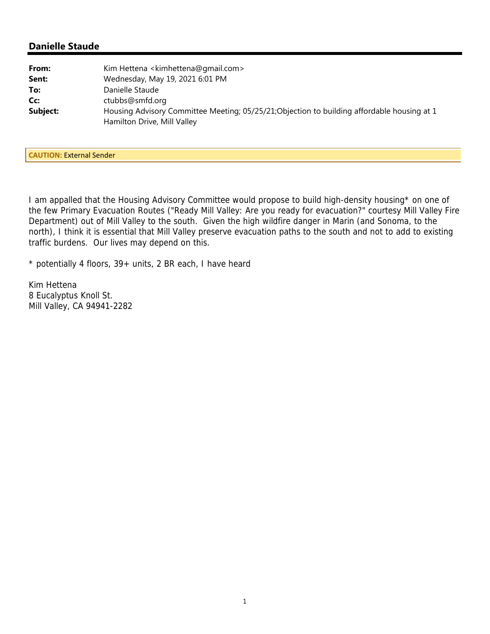| From:    | Kim Hettena <kimhettena@gmail.com></kimhettena@gmail.com>                                                                  |
|----------|----------------------------------------------------------------------------------------------------------------------------|
| Sent:    | Wednesday, May 19, 2021 6:01 PM                                                                                            |
| To:      | Danielle Staude                                                                                                            |
| Cc:      | ctubbs@smfd.org                                                                                                            |
| Subject: | Housing Advisory Committee Meeting; 05/25/21; Objection to building affordable housing at 1<br>Hamilton Drive, Mill Valley |

**CAUTION:** External Sender

I am appalled that the Housing Advisory Committee would propose to build high-density housing\* on one of the few Primary Evacuation Routes ("Ready Mill Valley: Are you ready for evacuation?" courtesy Mill Valley Fire Department) out of Mill Valley to the south. Given the high wildfire danger in Marin (and Sonoma, to the north), I think it is essential that Mill Valley preserve evacuation paths to the south and not to add to existing traffic burdens. Our lives may depend on this.

\* potentially 4 floors, 39+ units, 2 BR each, I have heard

Kim Hettena 8 Eucalyptus Knoll St. Mill Valley, CA 94941-2282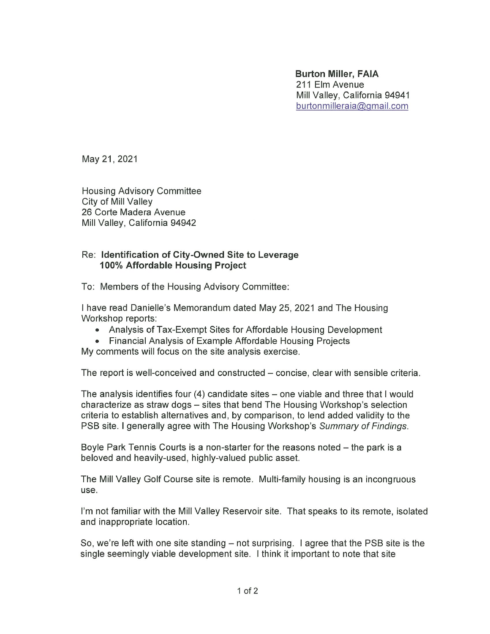**Burton Miller, FAIA** 211 Elm Avenue Mill Valley, California 94941 burtonmilleraia@gmail.com

May 21, 2021

**Housing Advisory Committee** City of Mill Valley 26 Corte Madera Avenue Mill Valley, California 94942

#### Re: Identification of City-Owned Site to Leverage 100% Affordable Housing Project

To: Members of the Housing Advisory Committee:

I have read Danielle's Memorandum dated May 25, 2021 and The Housing Workshop reports:

- Analysis of Tax-Exempt Sites for Affordable Housing Development
- Financial Analysis of Example Affordable Housing Projects

My comments will focus on the site analysis exercise.

The report is well-conceived and constructed – concise, clear with sensible criteria.

The analysis identifies four (4) candidate sites – one viable and three that I would characterize as straw dogs – sites that bend The Housing Workshop's selection criteria to establish alternatives and, by comparison, to lend added validity to the PSB site. I generally agree with The Housing Workshop's Summary of Findings.

Boyle Park Tennis Courts is a non-starter for the reasons noted – the park is a beloved and heavily-used, highly-valued public asset.

The Mill Valley Golf Course site is remote. Multi-family housing is an incongruous use.

I'm not familiar with the Mill Valley Reservoir site. That speaks to its remote, isolated and inappropriate location.

So, we're left with one site standing  $-$  not surprising. I agree that the PSB site is the single seemingly viable development site. I think it important to note that site